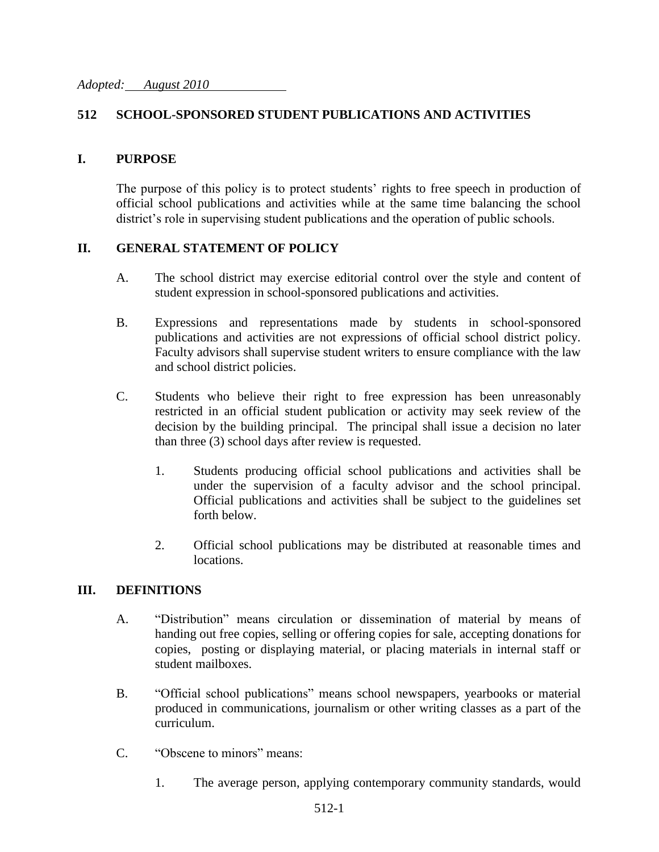## **512 SCHOOL-SPONSORED STUDENT PUBLICATIONS AND ACTIVITIES**

#### **I. PURPOSE**

The purpose of this policy is to protect students' rights to free speech in production of official school publications and activities while at the same time balancing the school district's role in supervising student publications and the operation of public schools.

### **II. GENERAL STATEMENT OF POLICY**

- A. The school district may exercise editorial control over the style and content of student expression in school-sponsored publications and activities.
- B. Expressions and representations made by students in school-sponsored publications and activities are not expressions of official school district policy. Faculty advisors shall supervise student writers to ensure compliance with the law and school district policies.
- C. Students who believe their right to free expression has been unreasonably restricted in an official student publication or activity may seek review of the decision by the building principal. The principal shall issue a decision no later than three (3) school days after review is requested.
	- 1. Students producing official school publications and activities shall be under the supervision of a faculty advisor and the school principal. Official publications and activities shall be subject to the guidelines set forth below.
	- 2. Official school publications may be distributed at reasonable times and locations.

#### **III. DEFINITIONS**

- A. "Distribution" means circulation or dissemination of material by means of handing out free copies, selling or offering copies for sale, accepting donations for copies, posting or displaying material, or placing materials in internal staff or student mailboxes.
- B. "Official school publications" means school newspapers, yearbooks or material produced in communications, journalism or other writing classes as a part of the curriculum.
- C. "Obscene to minors" means:
	- 1. The average person, applying contemporary community standards, would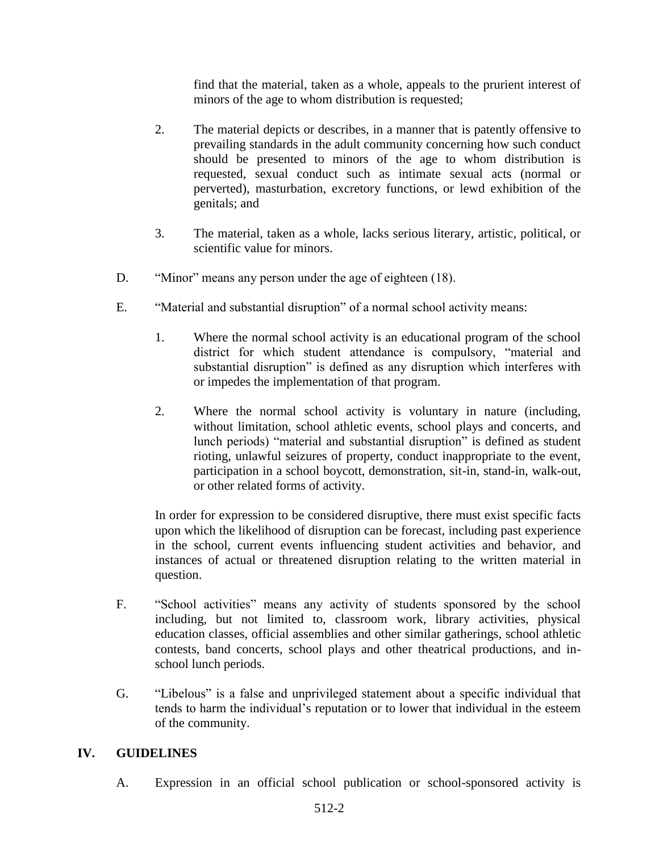find that the material, taken as a whole, appeals to the prurient interest of minors of the age to whom distribution is requested;

- 2. The material depicts or describes, in a manner that is patently offensive to prevailing standards in the adult community concerning how such conduct should be presented to minors of the age to whom distribution is requested, sexual conduct such as intimate sexual acts (normal or perverted), masturbation, excretory functions, or lewd exhibition of the genitals; and
- 3. The material, taken as a whole, lacks serious literary, artistic, political, or scientific value for minors.
- D. "Minor" means any person under the age of eighteen (18).
- E. "Material and substantial disruption" of a normal school activity means:
	- 1. Where the normal school activity is an educational program of the school district for which student attendance is compulsory, "material and substantial disruption" is defined as any disruption which interferes with or impedes the implementation of that program.
	- 2. Where the normal school activity is voluntary in nature (including, without limitation, school athletic events, school plays and concerts, and lunch periods) "material and substantial disruption" is defined as student rioting, unlawful seizures of property, conduct inappropriate to the event, participation in a school boycott, demonstration, sit-in, stand-in, walk-out, or other related forms of activity.

In order for expression to be considered disruptive, there must exist specific facts upon which the likelihood of disruption can be forecast, including past experience in the school, current events influencing student activities and behavior, and instances of actual or threatened disruption relating to the written material in question.

- F. "School activities" means any activity of students sponsored by the school including, but not limited to, classroom work, library activities, physical education classes, official assemblies and other similar gatherings, school athletic contests, band concerts, school plays and other theatrical productions, and inschool lunch periods.
- G. "Libelous" is a false and unprivileged statement about a specific individual that tends to harm the individual's reputation or to lower that individual in the esteem of the community.

# **IV. GUIDELINES**

A. Expression in an official school publication or school-sponsored activity is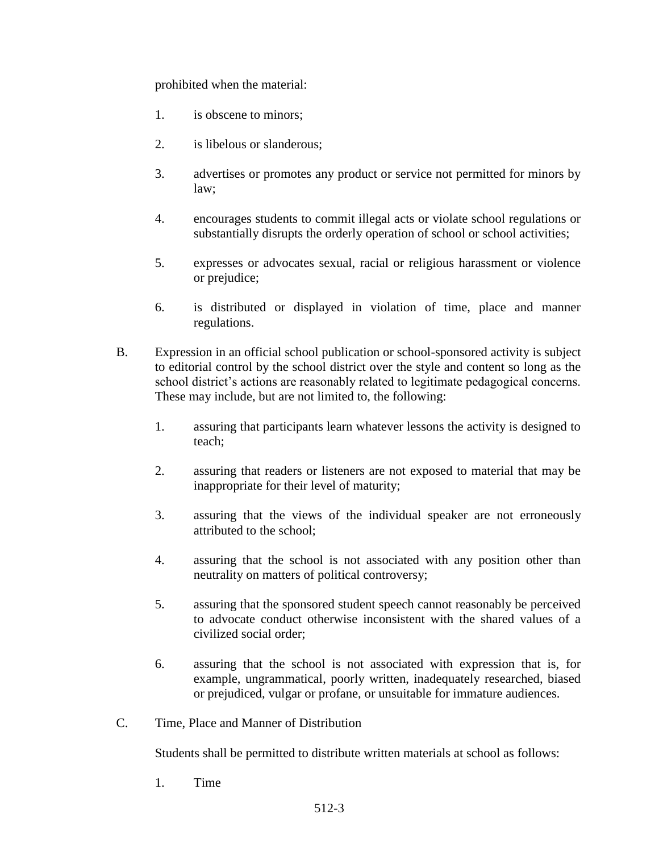prohibited when the material:

- 1. is obscene to minors;
- 2. is libelous or slanderous;
- 3. advertises or promotes any product or service not permitted for minors by law;
- 4. encourages students to commit illegal acts or violate school regulations or substantially disrupts the orderly operation of school or school activities;
- 5. expresses or advocates sexual, racial or religious harassment or violence or prejudice;
- 6. is distributed or displayed in violation of time, place and manner regulations.
- B. Expression in an official school publication or school-sponsored activity is subject to editorial control by the school district over the style and content so long as the school district's actions are reasonably related to legitimate pedagogical concerns. These may include, but are not limited to, the following:
	- 1. assuring that participants learn whatever lessons the activity is designed to teach;
	- 2. assuring that readers or listeners are not exposed to material that may be inappropriate for their level of maturity;
	- 3. assuring that the views of the individual speaker are not erroneously attributed to the school;
	- 4. assuring that the school is not associated with any position other than neutrality on matters of political controversy;
	- 5. assuring that the sponsored student speech cannot reasonably be perceived to advocate conduct otherwise inconsistent with the shared values of a civilized social order;
	- 6. assuring that the school is not associated with expression that is, for example, ungrammatical, poorly written, inadequately researched, biased or prejudiced, vulgar or profane, or unsuitable for immature audiences.
- C. Time, Place and Manner of Distribution

Students shall be permitted to distribute written materials at school as follows:

1. Time